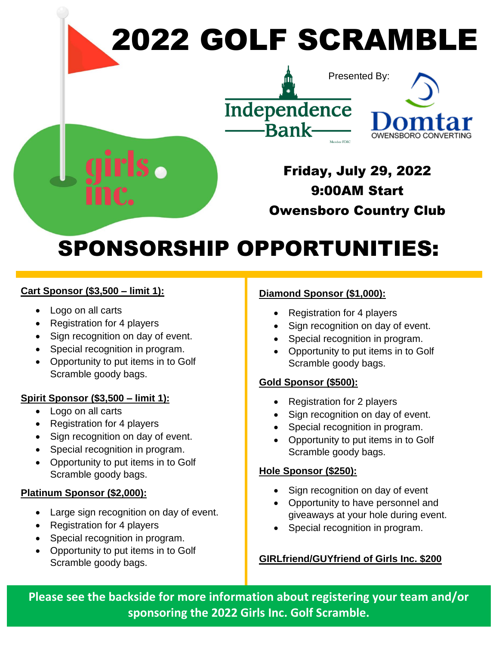

# SPONSORSHIP OPPORTUNITIES:

#### **Cart Sponsor (\$3,500 – limit 1):**

- Logo on all carts
- Registration for 4 players
- Sign recognition on day of event.
- Special recognition in program.
- Opportunity to put items in to Golf Scramble goody bags.

## **Spirit Sponsor (\$3,500 – limit 1):**

- Logo on all carts
- Registration for 4 players
- Sign recognition on day of event.
- Special recognition in program.
- Opportunity to put items in to Golf Scramble goody bags.

## **Platinum Sponsor (\$2,000):**

- Large sign recognition on day of event.
- Registration for 4 players
- Special recognition in program.
- Opportunity to put items in to Golf Scramble goody bags.

# **Diamond Sponsor (\$1,000):**

- Registration for 4 players
- Sign recognition on day of event.
- Special recognition in program.
- Opportunity to put items in to Golf Scramble goody bags.

## **Gold Sponsor (\$500):**

- Registration for 2 players
- Sign recognition on day of event.
- Special recognition in program.
- Opportunity to put items in to Golf Scramble goody bags.

## **Hole Sponsor (\$250):**

- Sign recognition on day of event
- Opportunity to have personnel and giveaways at your hole during event.
- Special recognition in program.

## **GIRLfriend/GUYfriend of Girls Inc. \$200**

**Please see the backside for more information about registering your team and/or sponsoring the 2022 Girls Inc. Golf Scramble.**